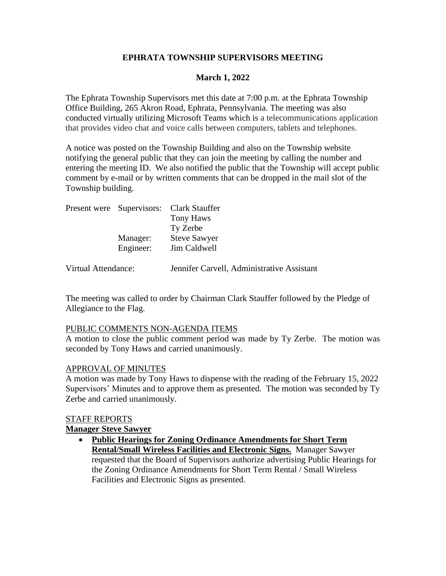# **EPHRATA TOWNSHIP SUPERVISORS MEETING**

# **March 1, 2022**

The Ephrata Township Supervisors met this date at 7:00 p.m. at the Ephrata Township Office Building, 265 Akron Road, Ephrata, Pennsylvania. The meeting was also conducted virtually utilizing Microsoft Teams which is a telecommunications application that provides video chat and voice calls between computers, tablets and telephones.

A notice was posted on the Township Building and also on the Township website notifying the general public that they can join the meeting by calling the number and entering the meeting ID. We also notified the public that the Township will accept public comment by e-mail or by written comments that can be dropped in the mail slot of the Township building.

|  |           | Present were Supervisors: Clark Stauffer |
|--|-----------|------------------------------------------|
|  |           | <b>Tony Haws</b>                         |
|  |           | Ty Zerbe                                 |
|  | Manager:  | <b>Steve Sawyer</b>                      |
|  | Engineer: | Jim Caldwell                             |
|  |           |                                          |

Virtual Attendance: Jennifer Carvell, Administrative Assistant

The meeting was called to order by Chairman Clark Stauffer followed by the Pledge of Allegiance to the Flag.

#### PUBLIC COMMENTS NON-AGENDA ITEMS

A motion to close the public comment period was made by Ty Zerbe. The motion was seconded by Tony Haws and carried unanimously.

### APPROVAL OF MINUTES

A motion was made by Tony Haws to dispense with the reading of the February 15, 2022 Supervisors' Minutes and to approve them as presented. The motion was seconded by Ty Zerbe and carried unanimously.

#### STAFF REPORTS

### **Manager Steve Sawyer**

• **Public Hearings for Zoning Ordinance Amendments for Short Term Rental/Small Wireless Facilities and Electronic Signs.** Manager Sawyer requested that the Board of Supervisors authorize advertising Public Hearings for the Zoning Ordinance Amendments for Short Term Rental / Small Wireless Facilities and Electronic Signs as presented.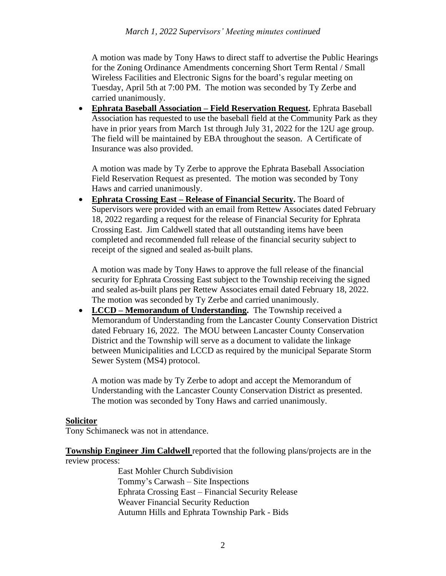A motion was made by Tony Haws to direct staff to advertise the Public Hearings for the Zoning Ordinance Amendments concerning Short Term Rental / Small Wireless Facilities and Electronic Signs for the board's regular meeting on Tuesday, April 5th at 7:00 PM. The motion was seconded by Ty Zerbe and carried unanimously.

• **Ephrata Baseball Association – Field Reservation Request.** Ephrata Baseball Association has requested to use the baseball field at the Community Park as they have in prior years from March 1st through July 31, 2022 for the 12U age group. The field will be maintained by EBA throughout the season. A Certificate of Insurance was also provided.

A motion was made by Ty Zerbe to approve the Ephrata Baseball Association Field Reservation Request as presented. The motion was seconded by Tony Haws and carried unanimously.

• **Ephrata Crossing East – Release of Financial Security.** The Board of Supervisors were provided with an email from Rettew Associates dated February 18, 2022 regarding a request for the release of Financial Security for Ephrata Crossing East. Jim Caldwell stated that all outstanding items have been completed and recommended full release of the financial security subject to receipt of the signed and sealed as-built plans.

A motion was made by Tony Haws to approve the full release of the financial security for Ephrata Crossing East subject to the Township receiving the signed and sealed as-built plans per Rettew Associates email dated February 18, 2022. The motion was seconded by Ty Zerbe and carried unanimously.

• **LCCD – Memorandum of Understanding.** The Township received a Memorandum of Understanding from the Lancaster County Conservation District dated February 16, 2022. The MOU between Lancaster County Conservation District and the Township will serve as a document to validate the linkage between Municipalities and LCCD as required by the municipal Separate Storm Sewer System (MS4) protocol.

A motion was made by Ty Zerbe to adopt and accept the Memorandum of Understanding with the Lancaster County Conservation District as presented. The motion was seconded by Tony Haws and carried unanimously.

### **Solicitor**

Tony Schimaneck was not in attendance.

**Township Engineer Jim Caldwell** reported that the following plans/projects are in the review process:

> East Mohler Church Subdivision Tommy's Carwash – Site Inspections Ephrata Crossing East – Financial Security Release Weaver Financial Security Reduction Autumn Hills and Ephrata Township Park - Bids